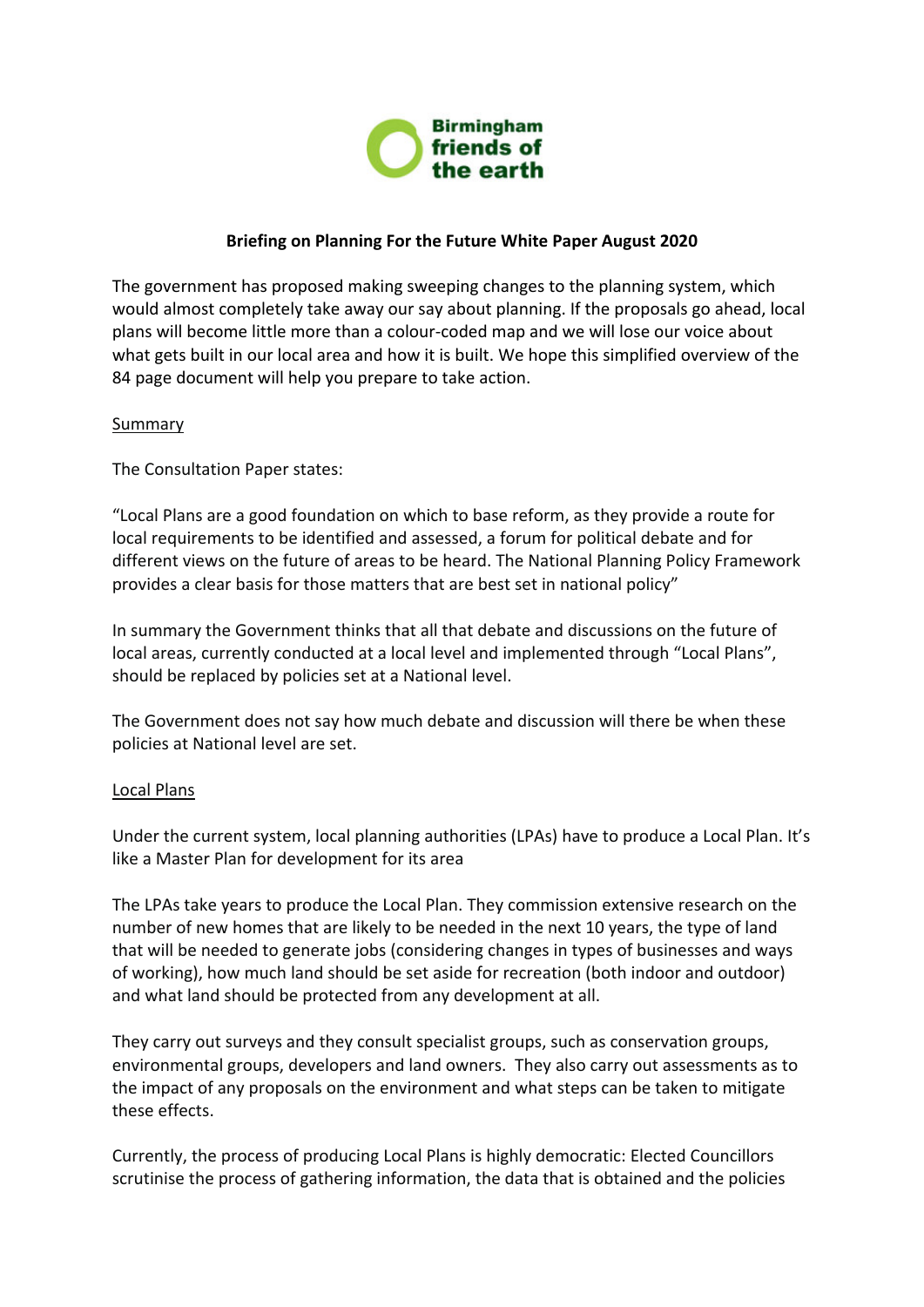

## **Briefing on Planning For the Future White Paper August 2020**

The government has proposed making sweeping changes to the planning system, which would almost completely take away our say about planning. If the proposals go ahead, local plans will become little more than a colour-coded map and we will lose our voice about what gets built in our local area and how it is built. We hope this simplified overview of the 84 page document will help you prepare to take action.

## Summary

The Consultation Paper states:

"Local Plans are a good foundation on which to base reform, as they provide a route for local requirements to be identified and assessed, a forum for political debate and for different views on the future of areas to be heard. The National Planning Policy Framework provides a clear basis for those matters that are best set in national policy"

In summary the Government thinks that all that debate and discussions on the future of local areas, currently conducted at a local level and implemented through "Local Plans", should be replaced by policies set at a National level.

The Government does not say how much debate and discussion will there be when these policies at National level are set.

## Local Plans

Under the current system, local planning authorities (LPAs) have to produce a Local Plan. It's like a Master Plan for development for its area

The LPAs take years to produce the Local Plan. They commission extensive research on the number of new homes that are likely to be needed in the next 10 years, the type of land that will be needed to generate jobs (considering changes in types of businesses and ways of working), how much land should be set aside for recreation (both indoor and outdoor) and what land should be protected from any development at all.

They carry out surveys and they consult specialist groups, such as conservation groups, environmental groups, developers and land owners. They also carry out assessments as to the impact of any proposals on the environment and what steps can be taken to mitigate these effects.

Currently, the process of producing Local Plans is highly democratic: Elected Councillors scrutinise the process of gathering information, the data that is obtained and the policies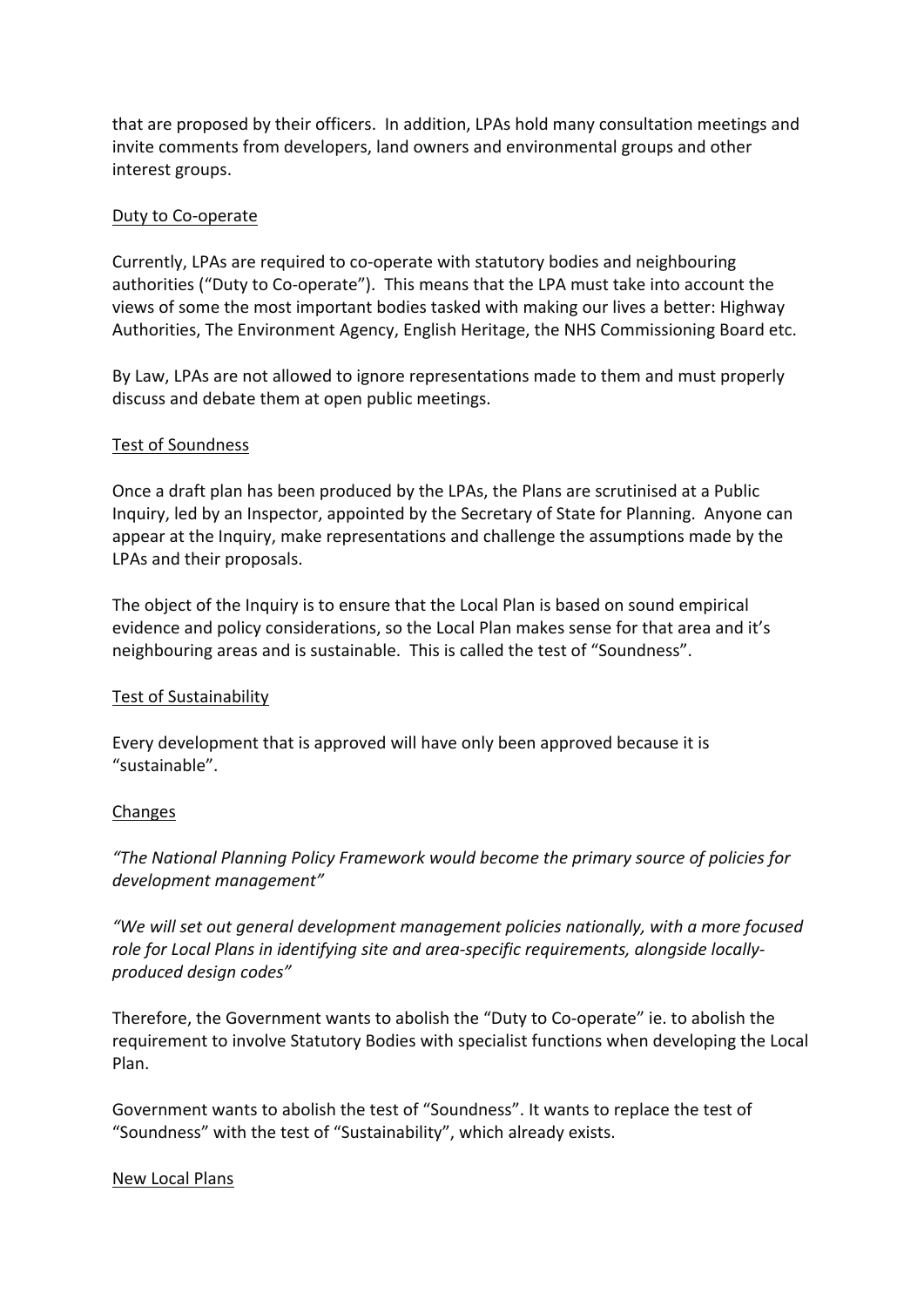that are proposed by their officers. In addition, LPAs hold many consultation meetings and invite comments from developers, land owners and environmental groups and other interest groups.

### Duty to Co-operate

Currently, LPAs are required to co-operate with statutory bodies and neighbouring authorities ("Duty to Co-operate"). This means that the LPA must take into account the views of some the most important bodies tasked with making our lives a better: Highway Authorities, The Environment Agency, English Heritage, the NHS Commissioning Board etc.

By Law, LPAs are not allowed to ignore representations made to them and must properly discuss and debate them at open public meetings.

### Test of Soundness

Once a draft plan has been produced by the LPAs, the Plans are scrutinised at a Public Inquiry, led by an Inspector, appointed by the Secretary of State for Planning. Anyone can appear at the Inquiry, make representations and challenge the assumptions made by the LPAs and their proposals.

The object of the Inquiry is to ensure that the Local Plan is based on sound empirical evidence and policy considerations, so the Local Plan makes sense for that area and it's neighbouring areas and is sustainable. This is called the test of "Soundness".

#### Test of Sustainability

Every development that is approved will have only been approved because it is "sustainable".

#### Changes

*"The National Planning Policy Framework would become the primary source of policies for development management"*

*"We will set out general development management policies nationally, with a more focused role for Local Plans in identifying site and area-specific requirements, alongside locallyproduced design codes"*

Therefore, the Government wants to abolish the "Duty to Co-operate" ie. to abolish the requirement to involve Statutory Bodies with specialist functions when developing the Local Plan.

Government wants to abolish the test of "Soundness". It wants to replace the test of "Soundness" with the test of "Sustainability", which already exists.

#### New Local Plans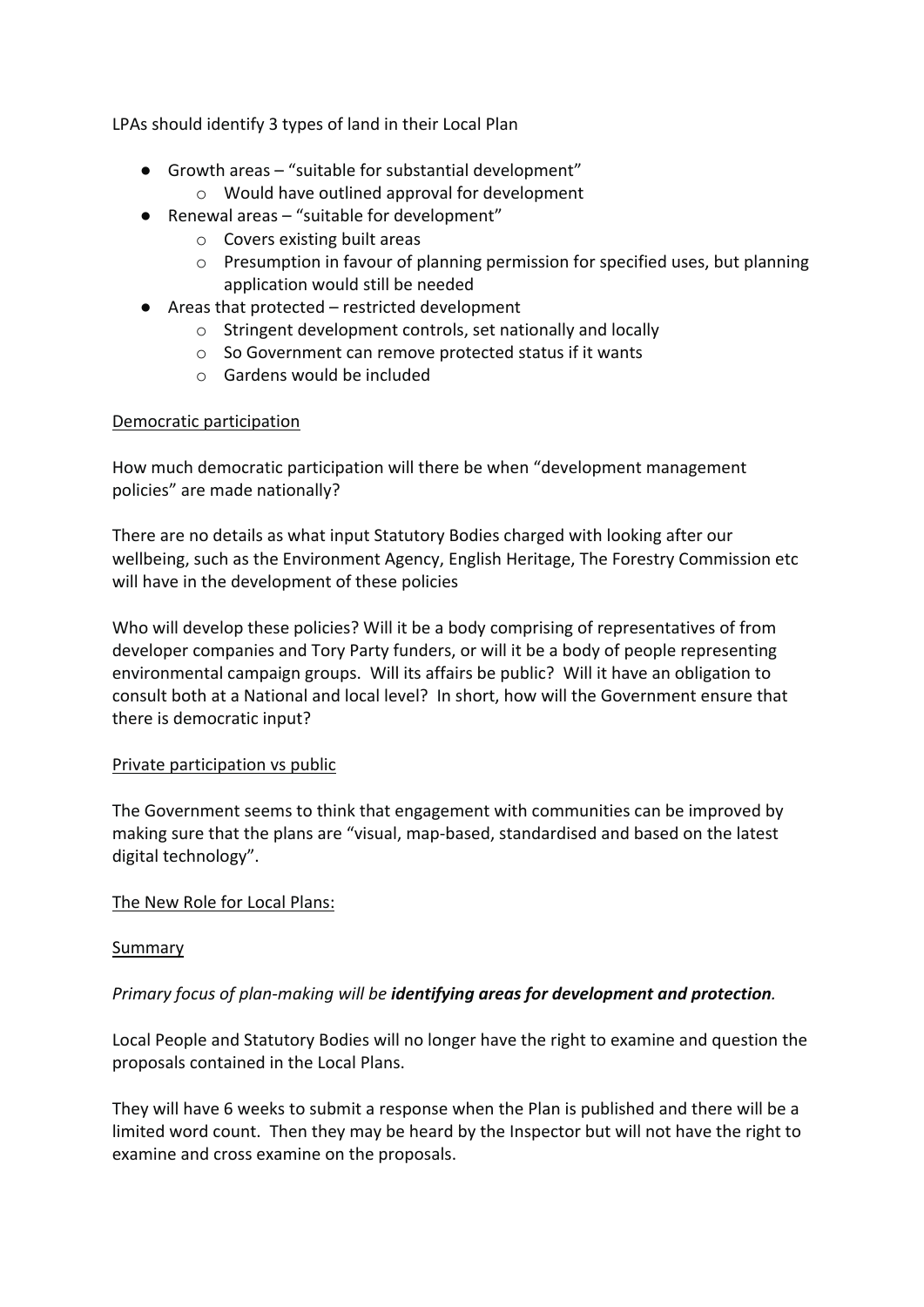LPAs should identify 3 types of land in their Local Plan

- Growth areas "suitable for substantial development"
	- o Would have outlined approval for development
- Renewal areas "suitable for development"
	- o Covers existing built areas
	- o Presumption in favour of planning permission for specified uses, but planning application would still be needed
- Areas that protected restricted development
	- o Stringent development controls, set nationally and locally
	- o So Government can remove protected status if it wants
	- o Gardens would be included

# Democratic participation

How much democratic participation will there be when "development management policies" are made nationally?

There are no details as what input Statutory Bodies charged with looking after our wellbeing, such as the Environment Agency, English Heritage, The Forestry Commission etc will have in the development of these policies

Who will develop these policies? Will it be a body comprising of representatives of from developer companies and Tory Party funders, or will it be a body of people representing environmental campaign groups. Will its affairs be public? Will it have an obligation to consult both at a National and local level? In short, how will the Government ensure that there is democratic input?

## Private participation vs public

The Government seems to think that engagement with communities can be improved by making sure that the plans are "visual, map-based, standardised and based on the latest digital technology".

The New Role for Local Plans:

# Summary

# *Primary focus of plan-making will be identifying areas for development and protection.*

Local People and Statutory Bodies will no longer have the right to examine and question the proposals contained in the Local Plans.

They will have 6 weeks to submit a response when the Plan is published and there will be a limited word count. Then they may be heard by the Inspector but will not have the right to examine and cross examine on the proposals.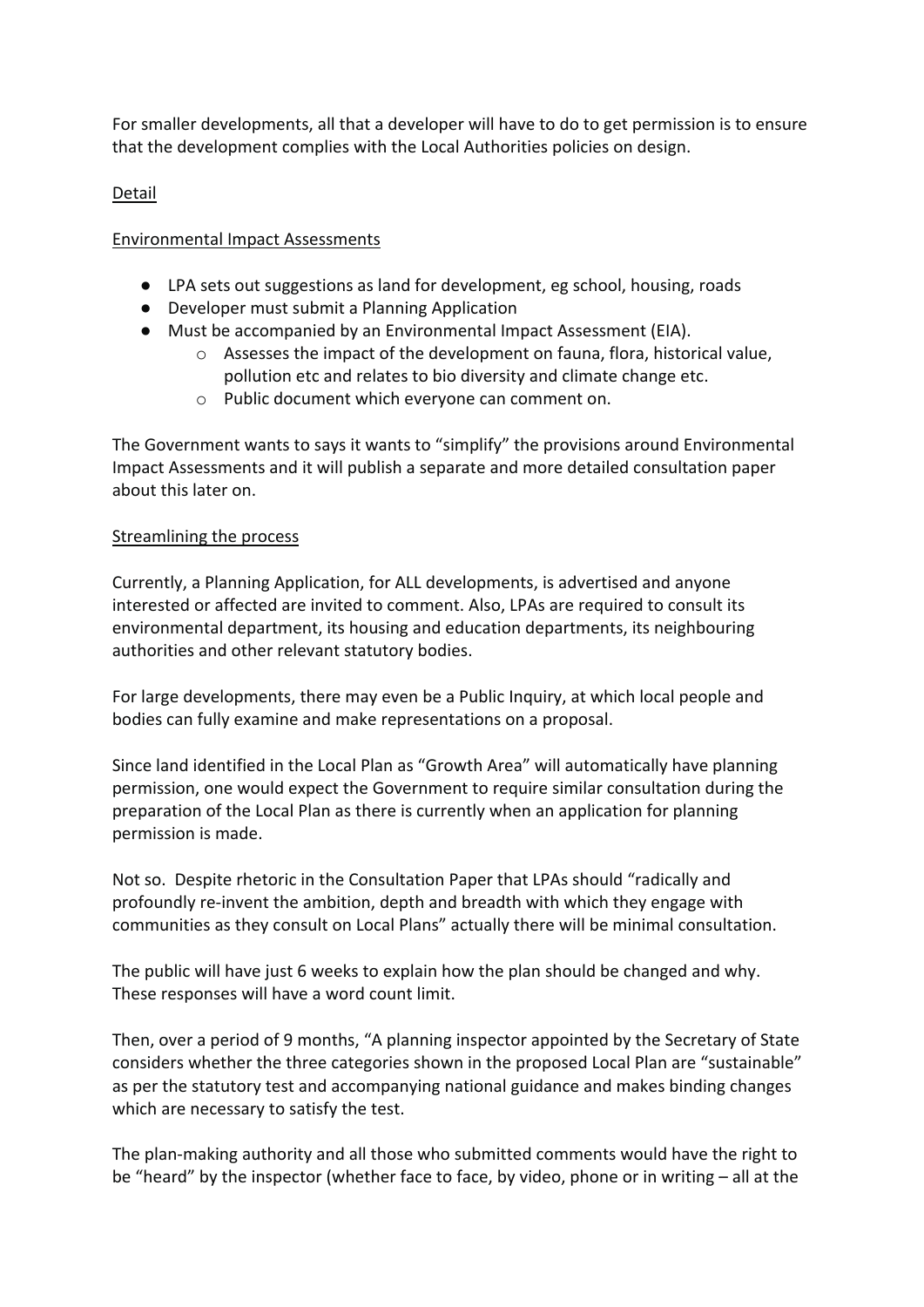For smaller developments, all that a developer will have to do to get permission is to ensure that the development complies with the Local Authorities policies on design.

# Detail

## Environmental Impact Assessments

- LPA sets out suggestions as land for development, eg school, housing, roads
- Developer must submit a Planning Application
- Must be accompanied by an Environmental Impact Assessment (EIA).
	- o Assesses the impact of the development on fauna, flora, historical value, pollution etc and relates to bio diversity and climate change etc.
	- o Public document which everyone can comment on.

The Government wants to says it wants to "simplify" the provisions around Environmental Impact Assessments and it will publish a separate and more detailed consultation paper about this later on.

## Streamlining the process

Currently, a Planning Application, for ALL developments, is advertised and anyone interested or affected are invited to comment. Also, LPAs are required to consult its environmental department, its housing and education departments, its neighbouring authorities and other relevant statutory bodies.

For large developments, there may even be a Public Inquiry, at which local people and bodies can fully examine and make representations on a proposal.

Since land identified in the Local Plan as "Growth Area" will automatically have planning permission, one would expect the Government to require similar consultation during the preparation of the Local Plan as there is currently when an application for planning permission is made.

Not so. Despite rhetoric in the Consultation Paper that LPAs should "radically and profoundly re-invent the ambition, depth and breadth with which they engage with communities as they consult on Local Plans" actually there will be minimal consultation.

The public will have just 6 weeks to explain how the plan should be changed and why. These responses will have a word count limit.

Then, over a period of 9 months, "A planning inspector appointed by the Secretary of State considers whether the three categories shown in the proposed Local Plan are "sustainable" as per the statutory test and accompanying national guidance and makes binding changes which are necessary to satisfy the test.

The plan-making authority and all those who submitted comments would have the right to be "heard" by the inspector (whether face to face, by video, phone or in writing – all at the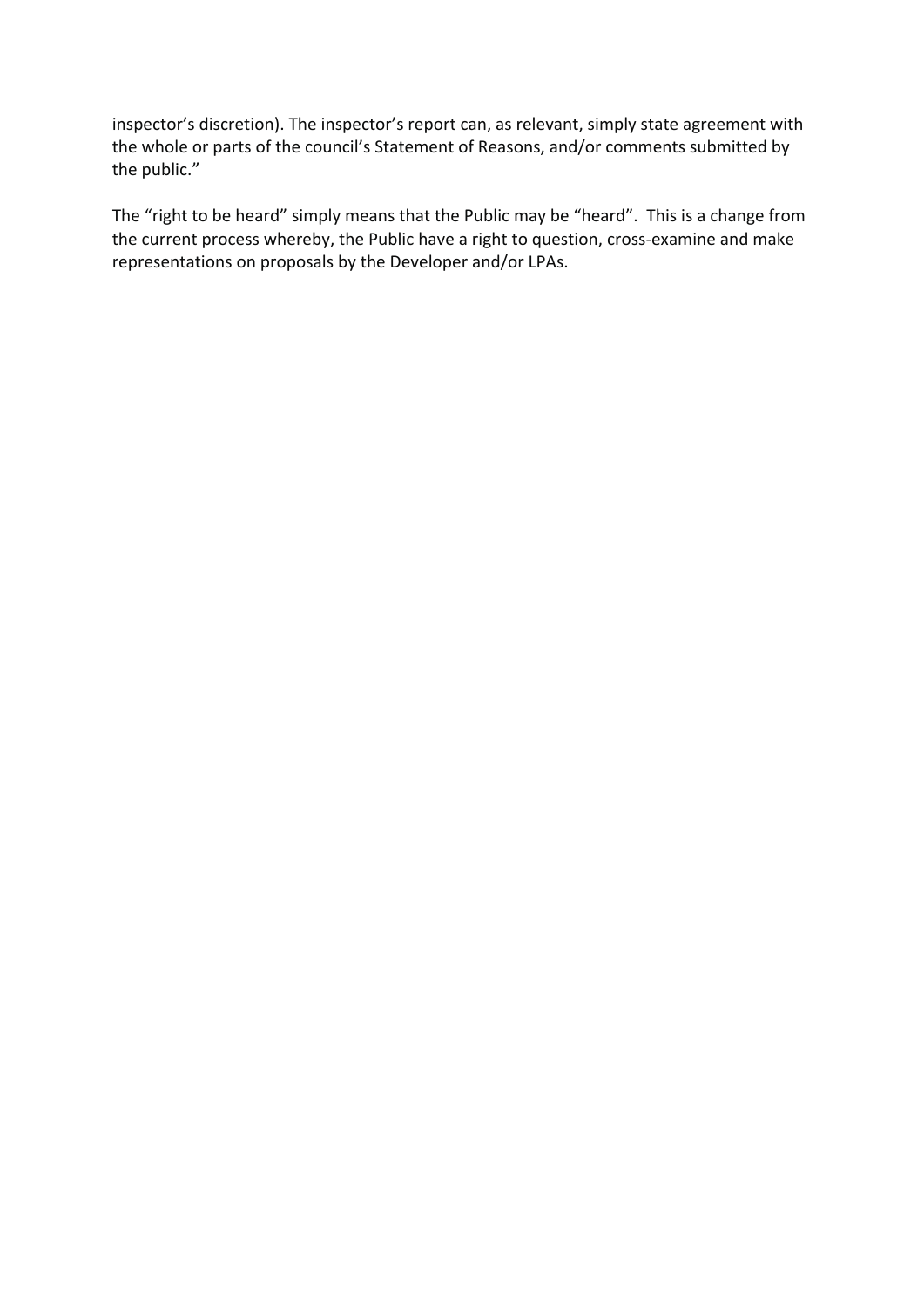inspector's discretion). The inspector's report can, as relevant, simply state agreement with the whole or parts of the council's Statement of Reasons, and/or comments submitted by the public."

The "right to be heard" simply means that the Public may be "heard". This is a change from the current process whereby, the Public have a right to question, cross-examine and make representations on proposals by the Developer and/or LPAs.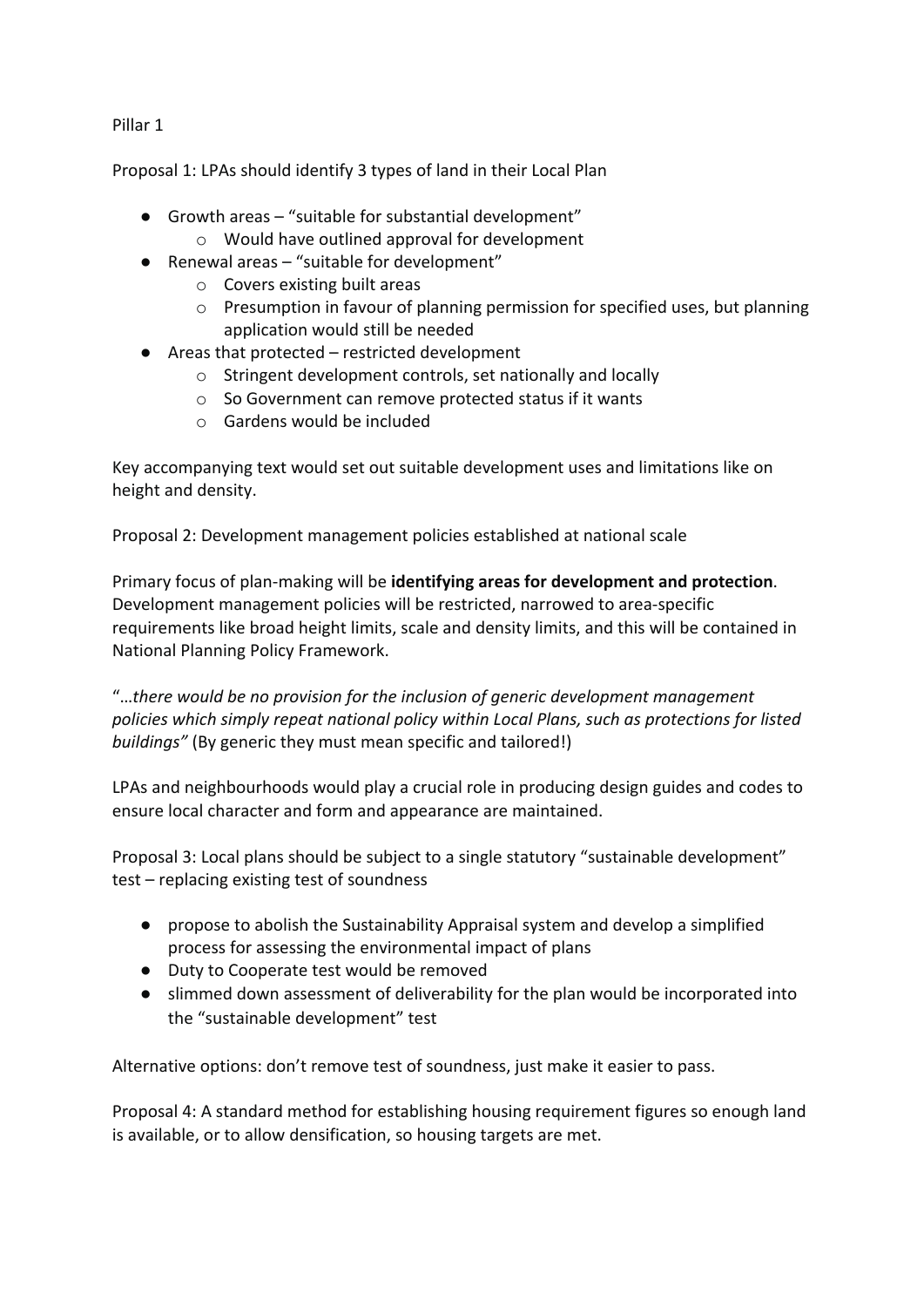Pillar 1

Proposal 1: LPAs should identify 3 types of land in their Local Plan

- Growth areas "suitable for substantial development" o Would have outlined approval for development
- Renewal areas "suitable for development"
	- o Covers existing built areas
	- o Presumption in favour of planning permission for specified uses, but planning application would still be needed
- Areas that protected restricted development
	- o Stringent development controls, set nationally and locally
	- o So Government can remove protected status if it wants
	- o Gardens would be included

Key accompanying text would set out suitable development uses and limitations like on height and density.

Proposal 2: Development management policies established at national scale

Primary focus of plan-making will be **identifying areas for development and protection**. Development management policies will be restricted, narrowed to area-specific requirements like broad height limits, scale and density limits, and this will be contained in National Planning Policy Framework.

"…*there would be no provision for the inclusion of generic development management policies which simply repeat national policy within Local Plans, such as protections for listed buildings"* (By generic they must mean specific and tailored!)

LPAs and neighbourhoods would play a crucial role in producing design guides and codes to ensure local character and form and appearance are maintained.

Proposal 3: Local plans should be subject to a single statutory "sustainable development" test – replacing existing test of soundness

- propose to abolish the Sustainability Appraisal system and develop a simplified process for assessing the environmental impact of plans
- Duty to Cooperate test would be removed
- slimmed down assessment of deliverability for the plan would be incorporated into the "sustainable development" test

Alternative options: don't remove test of soundness, just make it easier to pass.

Proposal 4: A standard method for establishing housing requirement figures so enough land is available, or to allow densification, so housing targets are met.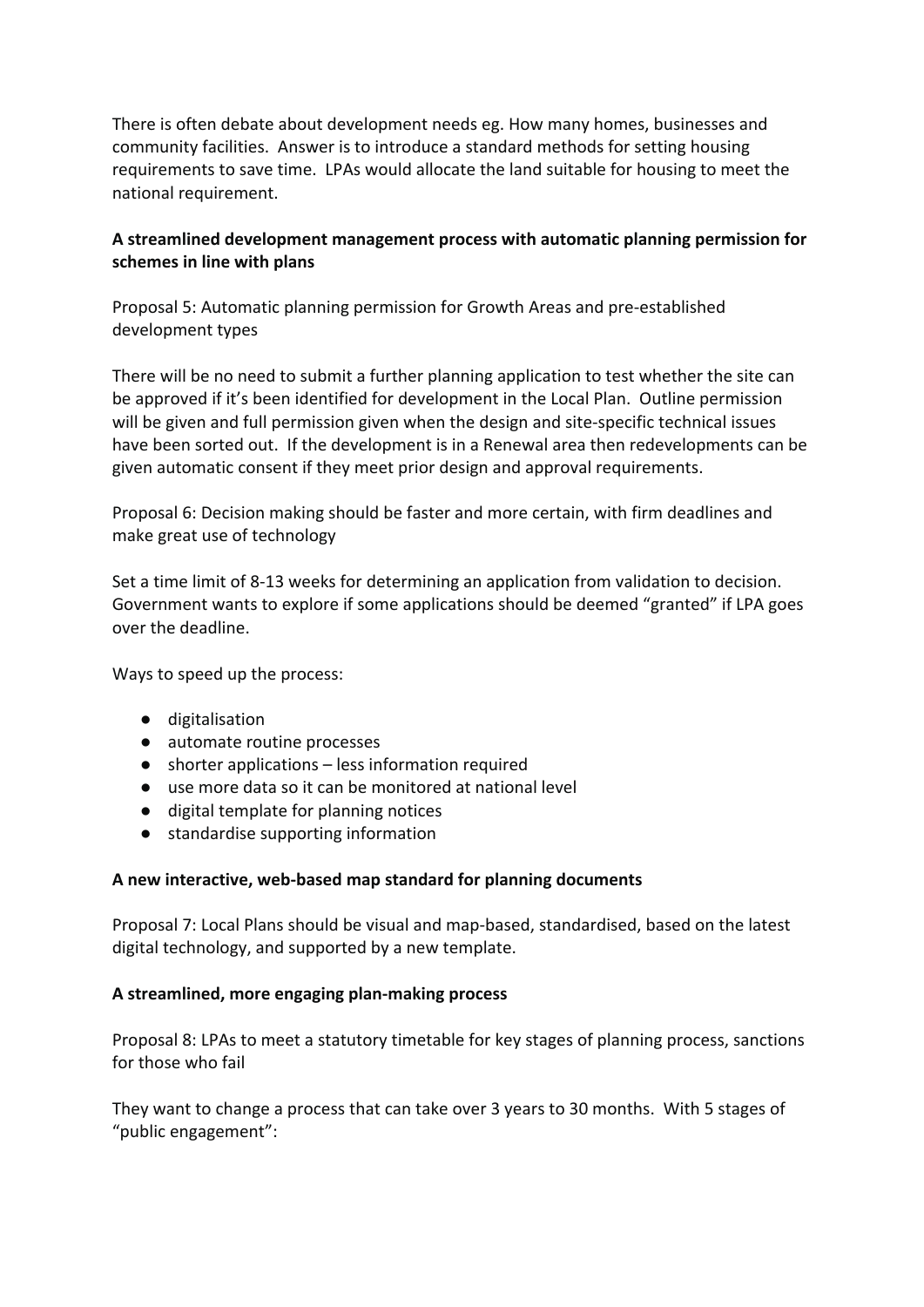There is often debate about development needs eg. How many homes, businesses and community facilities. Answer is to introduce a standard methods for setting housing requirements to save time. LPAs would allocate the land suitable for housing to meet the national requirement.

# **A streamlined development management process with automatic planning permission for schemes in line with plans**

Proposal 5: Automatic planning permission for Growth Areas and pre-established development types

There will be no need to submit a further planning application to test whether the site can be approved if it's been identified for development in the Local Plan. Outline permission will be given and full permission given when the design and site-specific technical issues have been sorted out. If the development is in a Renewal area then redevelopments can be given automatic consent if they meet prior design and approval requirements.

Proposal 6: Decision making should be faster and more certain, with firm deadlines and make great use of technology

Set a time limit of 8-13 weeks for determining an application from validation to decision. Government wants to explore if some applications should be deemed "granted" if LPA goes over the deadline.

Ways to speed up the process:

- digitalisation
- automate routine processes
- shorter applications less information required
- use more data so it can be monitored at national level
- digital template for planning notices
- standardise supporting information

## **A new interactive, web-based map standard for planning documents**

Proposal 7: Local Plans should be visual and map-based, standardised, based on the latest digital technology, and supported by a new template.

# **A streamlined, more engaging plan-making process**

Proposal 8: LPAs to meet a statutory timetable for key stages of planning process, sanctions for those who fail

They want to change a process that can take over 3 years to 30 months. With 5 stages of "public engagement":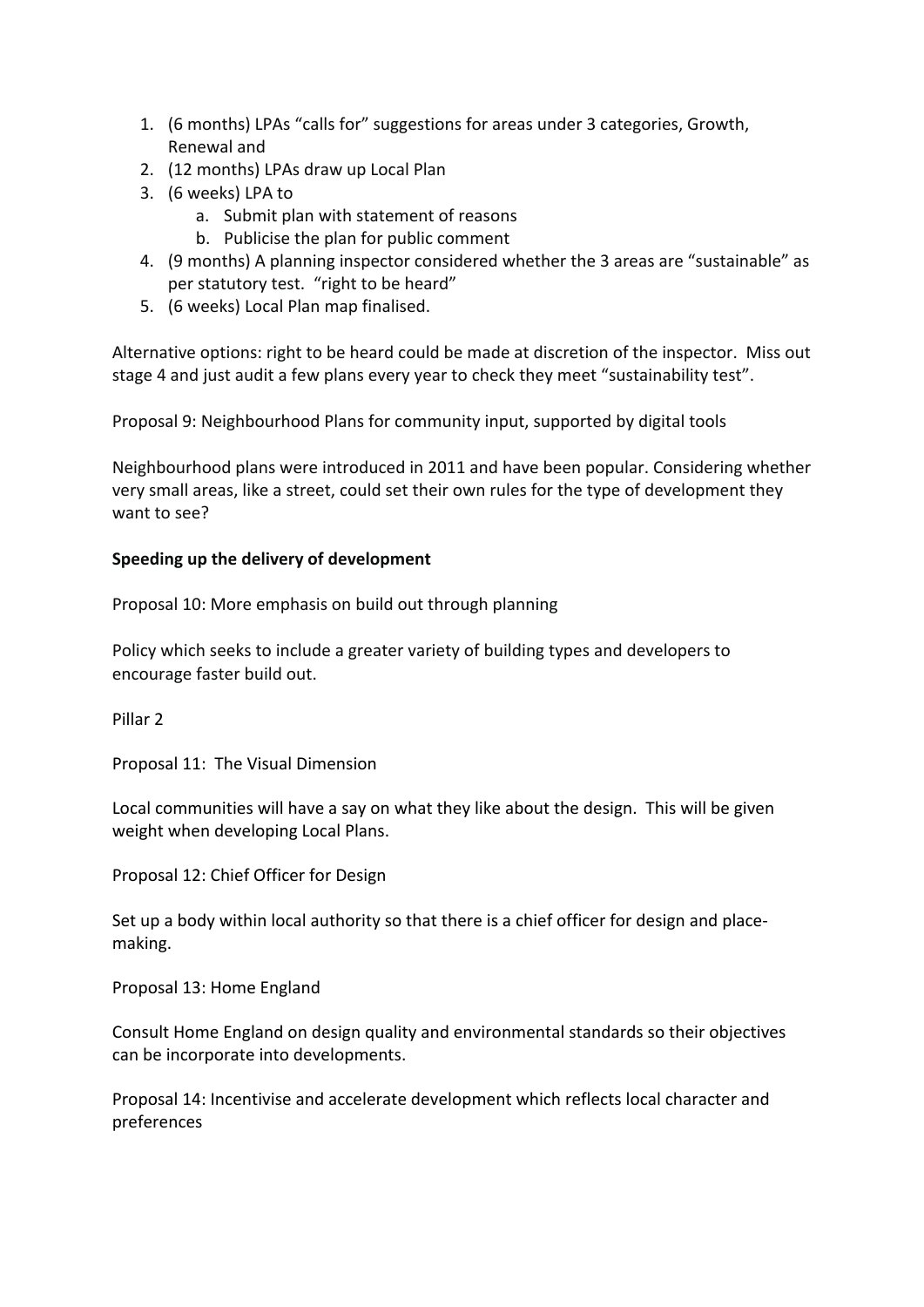- 1. (6 months) LPAs "calls for" suggestions for areas under 3 categories, Growth, Renewal and
- 2. (12 months) LPAs draw up Local Plan
- 3. (6 weeks) LPA to
	- a. Submit plan with statement of reasons
	- b. Publicise the plan for public comment
- 4. (9 months) A planning inspector considered whether the 3 areas are "sustainable" as per statutory test. "right to be heard"
- 5. (6 weeks) Local Plan map finalised.

Alternative options: right to be heard could be made at discretion of the inspector. Miss out stage 4 and just audit a few plans every year to check they meet "sustainability test".

Proposal 9: Neighbourhood Plans for community input, supported by digital tools

Neighbourhood plans were introduced in 2011 and have been popular. Considering whether very small areas, like a street, could set their own rules for the type of development they want to see?

# **Speeding up the delivery of development**

Proposal 10: More emphasis on build out through planning

Policy which seeks to include a greater variety of building types and developers to encourage faster build out.

Pillar 2

Proposal 11: The Visual Dimension

Local communities will have a say on what they like about the design. This will be given weight when developing Local Plans.

Proposal 12: Chief Officer for Design

Set up a body within local authority so that there is a chief officer for design and placemaking.

Proposal 13: Home England

Consult Home England on design quality and environmental standards so their objectives can be incorporate into developments.

Proposal 14: Incentivise and accelerate development which reflects local character and preferences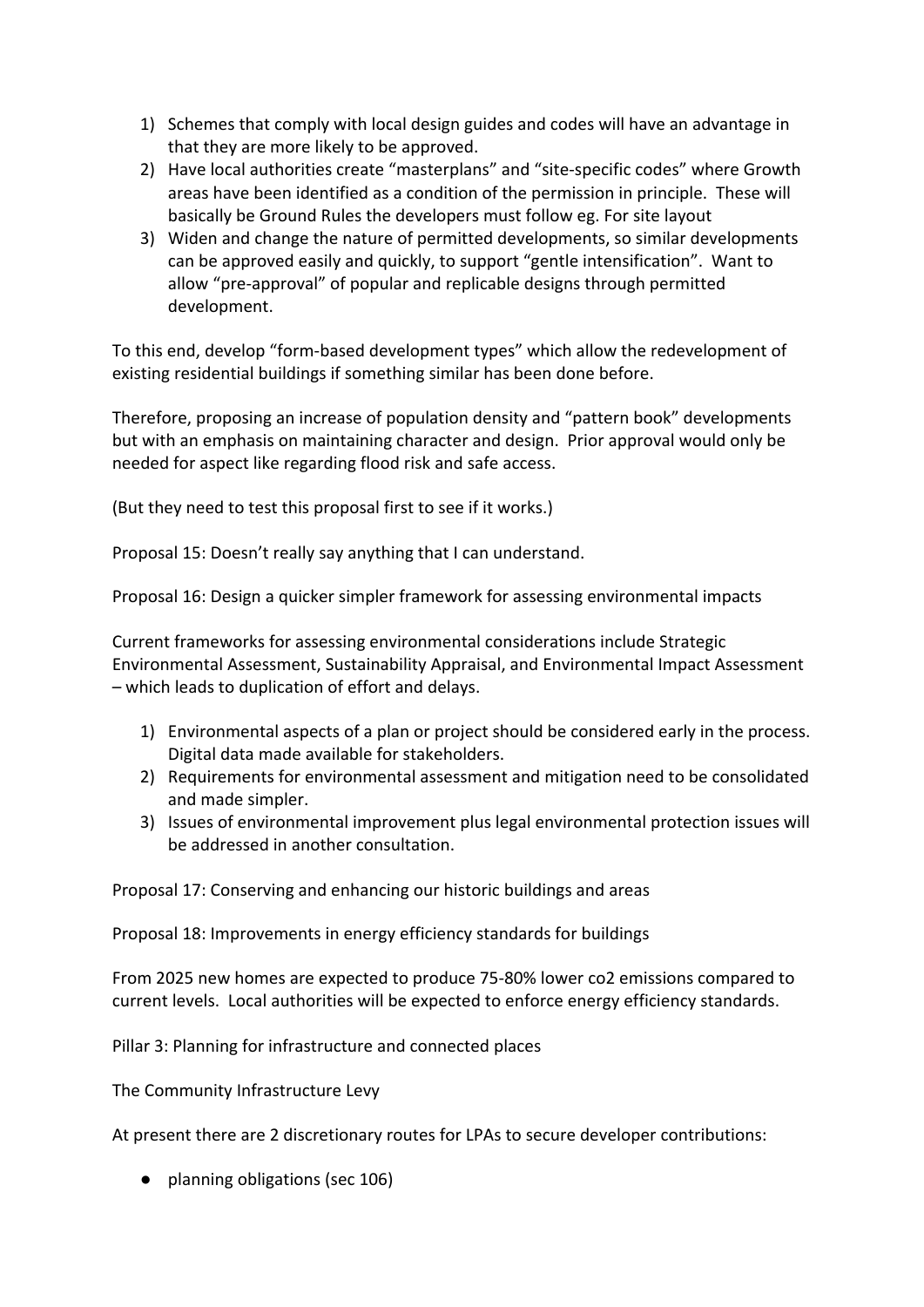- 1) Schemes that comply with local design guides and codes will have an advantage in that they are more likely to be approved.
- 2) Have local authorities create "masterplans" and "site-specific codes" where Growth areas have been identified as a condition of the permission in principle. These will basically be Ground Rules the developers must follow eg. For site layout
- 3) Widen and change the nature of permitted developments, so similar developments can be approved easily and quickly, to support "gentle intensification". Want to allow "pre-approval" of popular and replicable designs through permitted development.

To this end, develop "form-based development types" which allow the redevelopment of existing residential buildings if something similar has been done before.

Therefore, proposing an increase of population density and "pattern book" developments but with an emphasis on maintaining character and design. Prior approval would only be needed for aspect like regarding flood risk and safe access.

(But they need to test this proposal first to see if it works.)

Proposal 15: Doesn't really say anything that I can understand.

Proposal 16: Design a quicker simpler framework for assessing environmental impacts

Current frameworks for assessing environmental considerations include Strategic Environmental Assessment, Sustainability Appraisal, and Environmental Impact Assessment – which leads to duplication of effort and delays.

- 1) Environmental aspects of a plan or project should be considered early in the process. Digital data made available for stakeholders.
- 2) Requirements for environmental assessment and mitigation need to be consolidated and made simpler.
- 3) Issues of environmental improvement plus legal environmental protection issues will be addressed in another consultation.

Proposal 17: Conserving and enhancing our historic buildings and areas

Proposal 18: Improvements in energy efficiency standards for buildings

From 2025 new homes are expected to produce 75-80% lower co2 emissions compared to current levels. Local authorities will be expected to enforce energy efficiency standards.

Pillar 3: Planning for infrastructure and connected places

The Community Infrastructure Levy

At present there are 2 discretionary routes for LPAs to secure developer contributions:

● planning obligations (sec 106)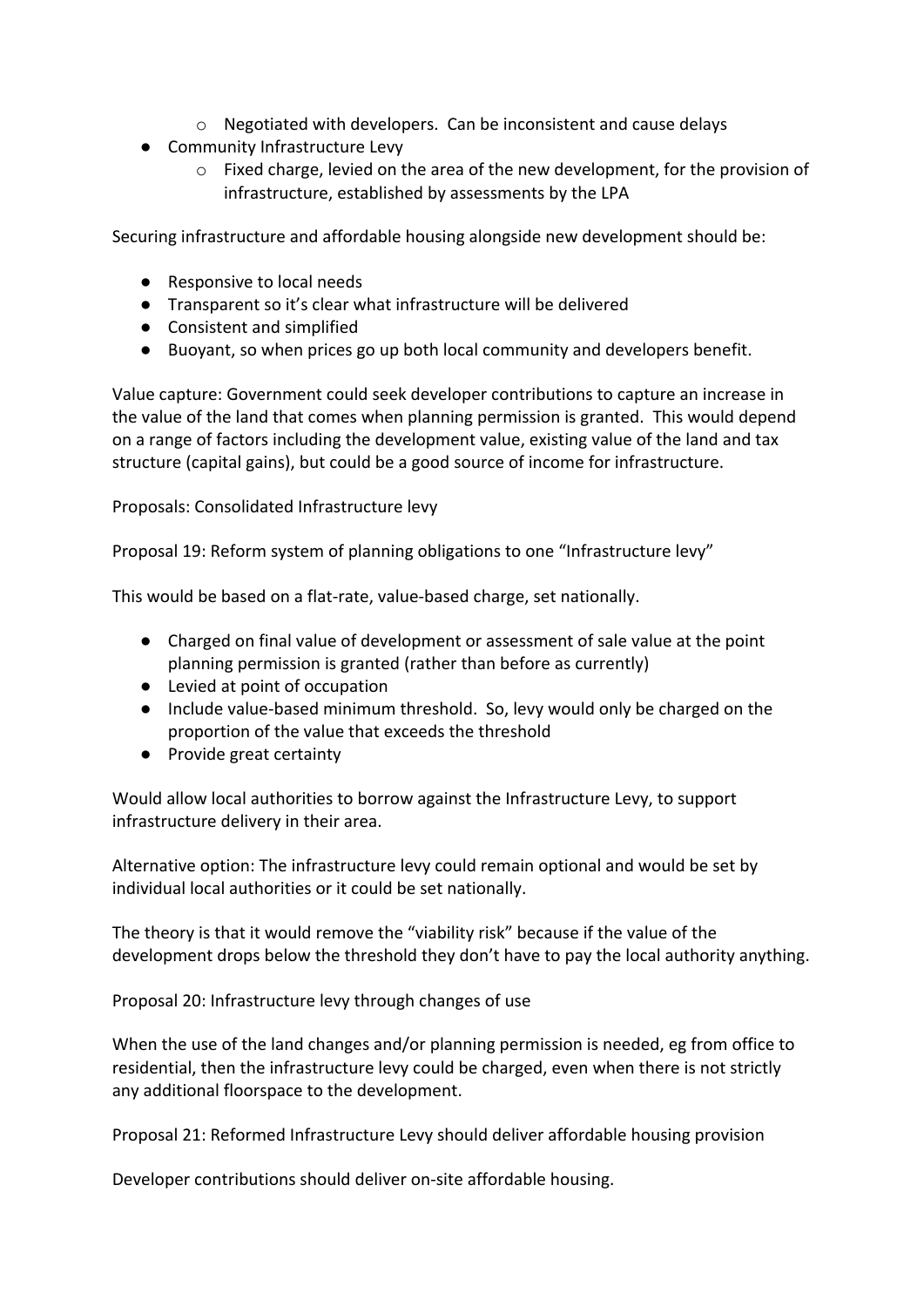- o Negotiated with developers. Can be inconsistent and cause delays
- Community Infrastructure Levy
	- o Fixed charge, levied on the area of the new development, for the provision of infrastructure, established by assessments by the LPA

Securing infrastructure and affordable housing alongside new development should be:

- Responsive to local needs
- Transparent so it's clear what infrastructure will be delivered
- Consistent and simplified
- Buoyant, so when prices go up both local community and developers benefit.

Value capture: Government could seek developer contributions to capture an increase in the value of the land that comes when planning permission is granted. This would depend on a range of factors including the development value, existing value of the land and tax structure (capital gains), but could be a good source of income for infrastructure.

Proposals: Consolidated Infrastructure levy

Proposal 19: Reform system of planning obligations to one "Infrastructure levy"

This would be based on a flat-rate, value-based charge, set nationally.

- Charged on final value of development or assessment of sale value at the point planning permission is granted (rather than before as currently)
- Levied at point of occupation
- Include value-based minimum threshold. So, levy would only be charged on the proportion of the value that exceeds the threshold
- Provide great certainty

Would allow local authorities to borrow against the Infrastructure Levy, to support infrastructure delivery in their area.

Alternative option: The infrastructure levy could remain optional and would be set by individual local authorities or it could be set nationally.

The theory is that it would remove the "viability risk" because if the value of the development drops below the threshold they don't have to pay the local authority anything.

Proposal 20: Infrastructure levy through changes of use

When the use of the land changes and/or planning permission is needed, eg from office to residential, then the infrastructure levy could be charged, even when there is not strictly any additional floorspace to the development.

Proposal 21: Reformed Infrastructure Levy should deliver affordable housing provision

Developer contributions should deliver on-site affordable housing.